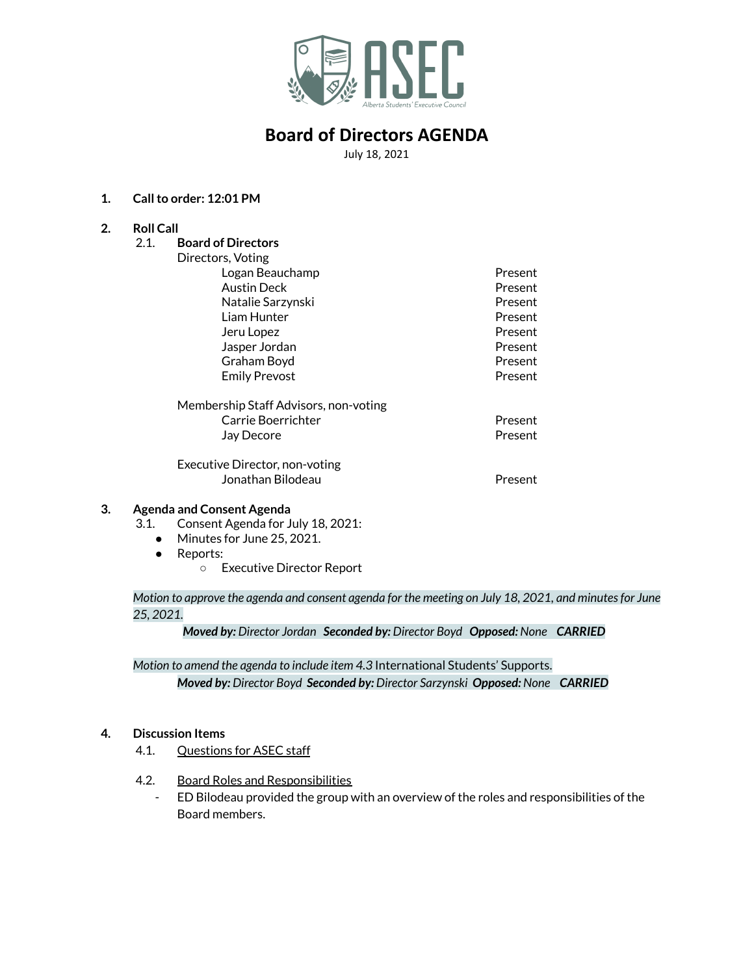

July 18, 2021

### **1. Callto order: 12:01 PM**

**2. Roll Call**

| 2.1. | <b>Board of Directors</b>             |         |
|------|---------------------------------------|---------|
|      | Directors, Voting                     |         |
|      | Logan Beauchamp                       | Present |
|      | Austin Deck                           | Present |
|      | Natalie Sarzynski                     | Present |
|      | Liam Hunter                           | Present |
|      | Jeru Lopez                            | Present |
|      | Jasper Jordan                         | Present |
|      | Graham Boyd                           | Present |
|      | <b>Emily Prevost</b>                  | Present |
|      | Membership Staff Advisors, non-voting |         |
|      | Carrie Boerrichter                    | Present |
|      | Jay Decore                            | Present |
|      | Executive Director, non-voting        |         |
|      | Jonathan Bilodeau                     | Present |

#### **3. Agenda and Consent Agenda**

- 3.1. Consent Agenda for July 18, 2021:
	- Minutes for June 25, 2021.
	- Reports:
		- Executive Director Report

Motion to approve the agenda and consent agenda for the meeting on July 18, 2021, and minutes for June *25, 2021.*

*Moved by: Director Jordan Seconded by: Director Boyd Opposed: None CARRIED*

*Motion to amend the agenda to include item 4.3* International Students' Supports. *Moved by: Director Boyd Seconded by: Director Sarzynski Opposed: None CARRIED*

### **4. Discussion Items**

- 4.1. Questions for ASEC staff
- 4.2. Board Roles and Responsibilities
	- ED Bilodeau provided the group with an overview of the roles and responsibilities of the Board members.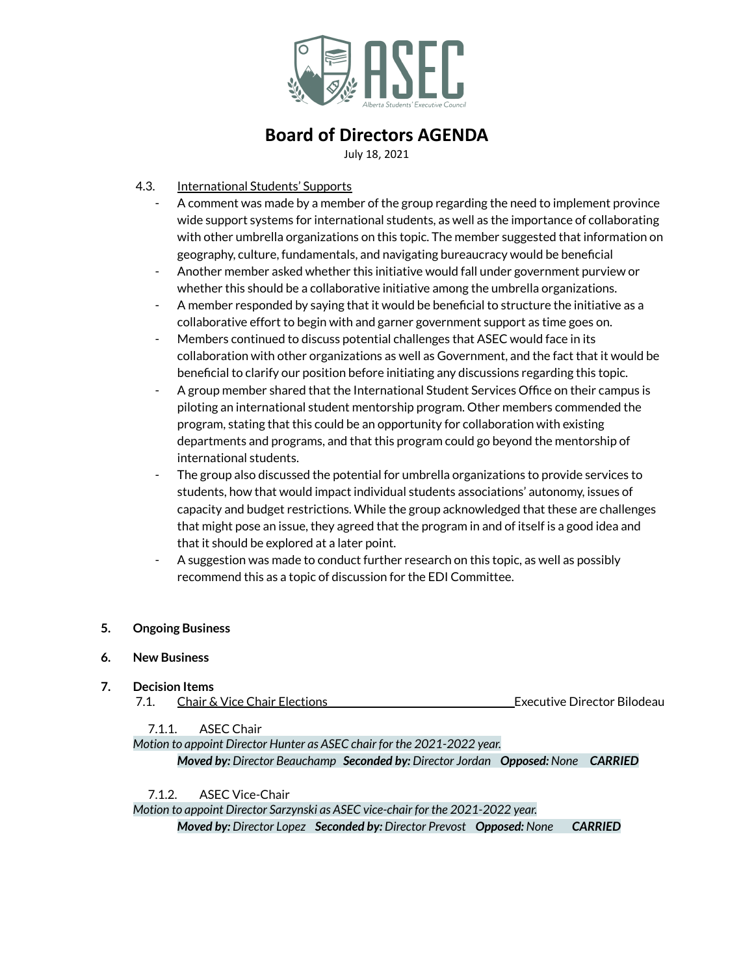

July 18, 2021

- 4.3. International Students' Supports
	- A comment was made by a member of the group regarding the need to implement province wide support systems for international students, as well as the importance of collaborating with other umbrella organizations on this topic. The member suggested that information on geography, culture, fundamentals, and navigating bureaucracy would be beneficial
	- Another member asked whether this initiative would fall under government purview or whether this should be a collaborative initiative among the umbrella organizations.
	- A member responded by saying that it would be beneficial to structure the initiative as a collaborative effort to begin with and garner government support as time goes on.
	- Members continued to discuss potential challenges that ASEC would face in its collaboration with other organizations as well as Government, and the fact that it would be beneficial to clarify our position before initiating any discussions regarding this topic.
	- A group member shared that the International Student Services Office on their campus is piloting an international student mentorship program. Other members commended the program, stating that this could be an opportunity for collaboration with existing departments and programs, and that this program could go beyond the mentorship of international students.
	- The group also discussed the potential for umbrella organizations to provide services to students, how that would impact individual students associations' autonomy, issues of capacity and budget restrictions. While the group acknowledged that these are challenges that might pose an issue, they agreed that the program in and of itself is a good idea and that it should be explored at a later point.
	- A suggestion was made to conduct further research on this topic, as well as possibly recommend this as a topic of discussion for the EDI Committee.

### **5. Ongoing Business**

#### **6. New Business**

**7. Decision Items** 7.1. Chair & Vice Chair Elections **Executive Director Bilodeau** 

7.1.1 ASEC Chair

*Motion to appoint Director Hunter as ASEC chair for the 2021-2022 year.*

*Moved by: Director Beauchamp Seconded by: Director Jordan Opposed: None CARRIED*

7.1.2. ASEC Vice-Chair

*Motion to appoint Director Sarzynski as ASEC vice-chair for the 2021-2022 year. Moved by: Director Lopez Seconded by: Director Prevost Opposed: None CARRIED*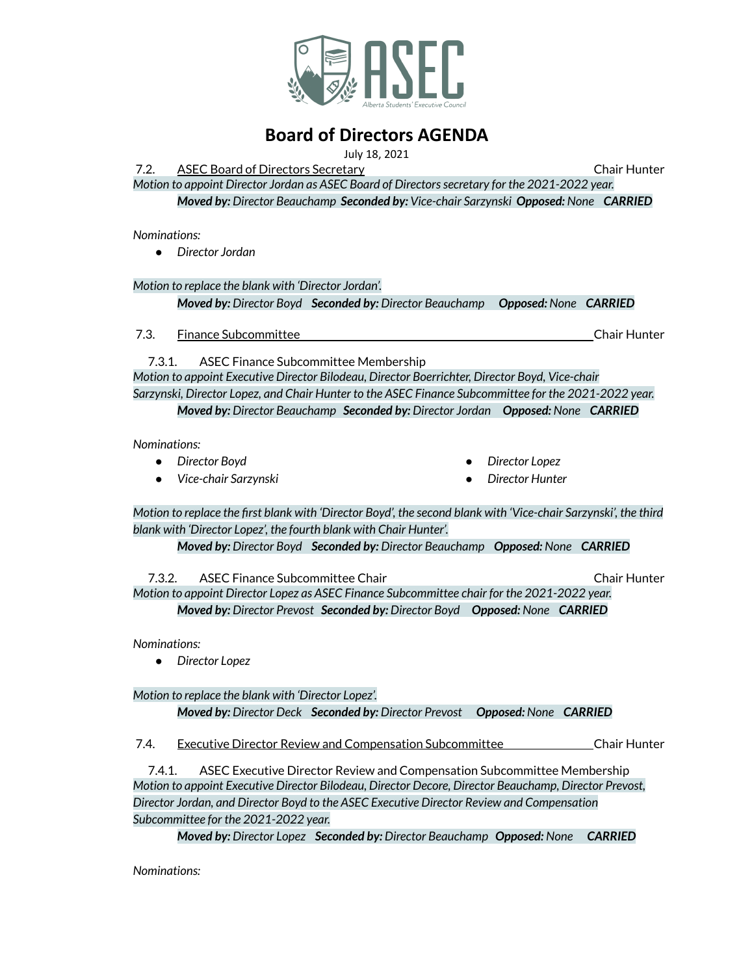

July 18, 2021

7.2. ASEC Board of Directors Secretary Chair Hunter *Motion to appoint Director Jordan as ASEC Board of Directorssecretary for the 2021-2022 year.*

*Moved by: Director Beauchamp Seconded by: Vice-chair Sarzynski Opposed: None CARRIED*

*Nominations:*

*● Director Jordan*

*Motion to replace the blank with 'Director Jordan'. Moved by: Director Boyd Seconded by: Director Beauchamp Opposed: None CARRIED*

**7.3.** Finance Subcommittee Chair Hunter Chair Hunter

7.3.1. ASEC Finance Subcommittee Membership *Motion to appoint Executive Director Bilodeau, Director Boerrichter, Director Boyd, Vice-chair Sarzynski, Director Lopez, and Chair Hunter to the ASEC Finance Subcommittee for the 2021-2022 year. Moved by: Director Beauchamp Seconded by: Director Jordan Opposed: None CARRIED*

*Nominations:*

- *● Director Boyd*
- *● Vice-chair Sarzynski*
- *● Director Lopez*
- *● Director Hunter*

Motion to replace the first blank with 'Director Boyd', the second blank with 'Vice-chair Sarzynski', the third *blank with 'Director Lopez', the fourth blank with Chair Hunter'.*

*Moved by: Director Boyd Seconded by: Director Beauchamp Opposed: None CARRIED*

7.3.2. ASEC Finance Subcommittee Chair Chair Hunter *Motion to appoint Director Lopez as ASEC Finance Subcommittee chair for the 2021-2022 year. Moved by: Director Prevost Seconded by: Director Boyd Opposed: None CARRIED*

*Nominations:*

*● Director Lopez*

*Motion to replace the blank with 'Director Lopez'. Moved by: Director Deck Seconded by: Director Prevost Opposed: None CARRIED*

7.4. Executive Director Review and Compensation Subcommittee Chair Hunter

7.4.1. ASEC Executive Director Review and Compensation Subcommittee Membership *Motion to appoint Executive Director Bilodeau, Director Decore, Director Beauchamp, Director Prevost, Director Jordan, and Director Boyd to the ASEC Executive Director Review and Compensation Subcommittee for the 2021-2022 year.*

*Moved by: Director Lopez Seconded by: Director Beauchamp Opposed: None CARRIED*

*Nominations:*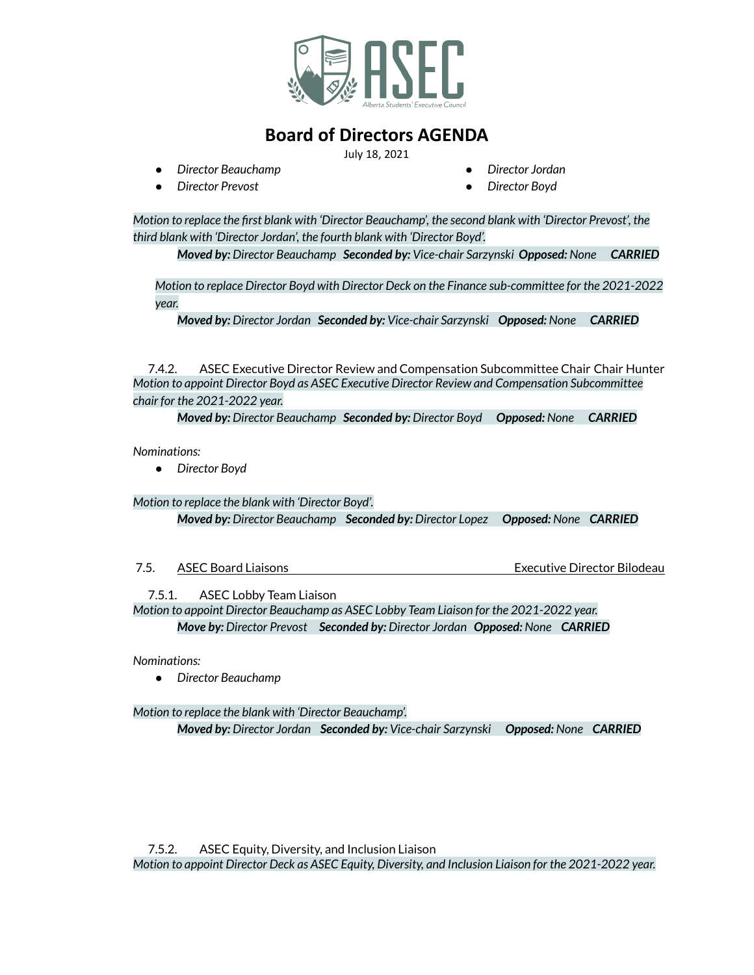

July 18, 2021

*● Director Beauchamp*

*● Director Jordan*

*● Director Prevost*

*● Director Boyd*

*Motion to replace the first blank with 'Director Beauchamp', the second blank with 'Director Prevost', the third blank with 'Director Jordan', the fourth blank with 'Director Boyd'.*

*Moved by: Director Beauchamp Seconded by: Vice-chair Sarzynski Opposed: None CARRIED*

*Motion to replace Director Boyd with Director Deck on the Finance sub-committee for the 2021-2022 year.*

*Moved by: Director Jordan Seconded by: Vice-chair Sarzynski Opposed: None CARRIED*

7.4.2. ASEC Executive Director Review and Compensation Subcommittee Chair Chair Hunter *Motion to appoint Director Boyd as ASEC Executive Director Review and Compensation Subcommittee chair for the 2021-2022 year.*

*Moved by: Director Beauchamp Seconded by: Director Boyd Opposed: None CARRIED*

*Nominations:*

*● Director Boyd*

*Motion to replace the blank with 'Director Boyd'.*

*Moved by: Director Beauchamp Seconded by: Director Lopez Opposed: None CARRIED*

| 7.5.<br>Executive Director Bilodeau<br>ASEC Board Liaisons |
|------------------------------------------------------------|
|------------------------------------------------------------|

7.5.1. ASEC Lobby Team Liaison

*Motion to appoint Director Beauchamp as ASEC Lobby Team Liaison for the 2021-2022 year. Move by: Director Prevost Seconded by: Director Jordan Opposed: None CARRIED*

*Nominations:*

*● Director Beauchamp*

*Motion to replace the blank with 'Director Beauchamp'. Moved by: Director Jordan Seconded by: Vice-chair Sarzynski Opposed: None CARRIED*

7.5.2. ASEC Equity, Diversity, and Inclusion Liaison *Motion to appoint Director Deck as ASEC Equity, Diversity, and Inclusion Liaison for the 2021-2022 year.*